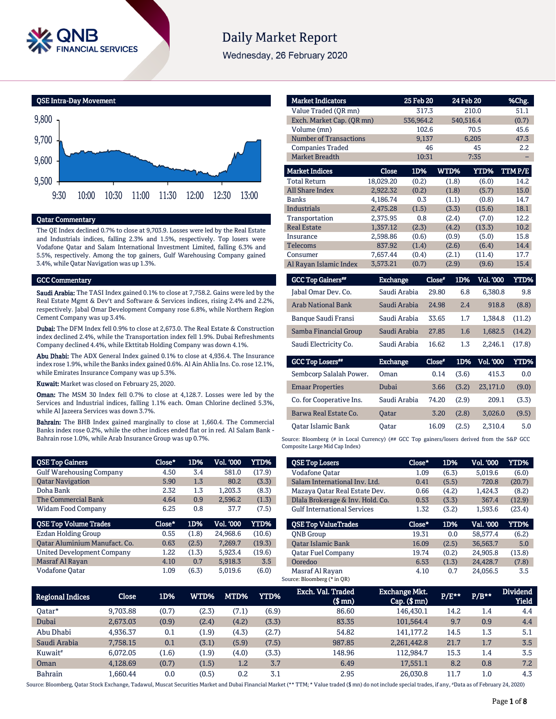

# **Daily Market Report**

Wednesday, 26 February 2020





# Qatar Commentary

The QE Index declined 0.7% to close at 9,703.9. Losses were led by the Real Estate and Industrials indices, falling 2.3% and 1.5%, respectively. Top losers were Vodafone Qatar and Salam International Investment Limited, falling 6.3% and 5.5%, respectively. Among the top gainers, Gulf Warehousing Company gained 3.4%, while Qatar Navigation was up 1.3%.

#### GCC Commentary

Saudi Arabia: The TASI Index gained 0.1% to close at 7,758.2. Gains were led by the Real Estate Mgmt & Dev't and Software & Services indices, rising 2.4% and 2.2%, respectively. Jabal Omar Development Company rose 6.8%, while Northern Region Cement Company was up 3.4%.

Dubai: The DFM Index fell 0.9% to close at 2,673.0. The Real Estate & Construction index declined 2.4%, while the Transportation index fell 1.9%. Dubai Refreshments Company declined 4.4%, while Ekttitab Holding Company was down 4.1%.

Abu Dhabi: The ADX General Index gained 0.1% to close at 4,936.4. The Insurance index rose 1.9%, while the Banks index gained 0.6%. Al Ain Ahlia Ins. Co. rose 12.1%, while Emirates Insurance Company was up 5.3%.

Kuwait: Market was closed on February 25, 2020.

Oman: The MSM 30 Index fell 0.7% to close at 4,128.7. Losses were led by the Services and Industrial indices, falling 1.1% each. Oman Chlorine declined 5.3%, while Al Jazeera Services was down 3.7%.

Bahrain: The BHB Index gained marginally to close at 1,660.4. The Commercial Banks index rose 0.2%, while the other indices ended flat or in red. Al Salam Bank - Bahrain rose 1.0%, while Arab Insurance Group was up 0.7%.

| <b>QSE Top Gainers</b>            | Close* | 1D%   | Vol. '000 | YTD%   |
|-----------------------------------|--------|-------|-----------|--------|
| <b>Gulf Warehousing Company</b>   | 4.50   | 3.4   | 581.0     | (17.9) |
| <b>Qatar Navigation</b>           | 5.90   | 1.3   | 80.2      | (3.3)  |
| Doha Bank                         | 2.32   | 1.3   | 1.203.3   | (8.3)  |
| The Commercial Bank               | 4.64   | 0.9   | 2.596.2   | (1.3)  |
| Widam Food Company                | 6.25   | 0.8   | 37.7      | (7.5)  |
|                                   |        |       |           |        |
| <b>QSE Top Volume Trades</b>      | Close* | 1D%   | Vol. '000 | YTD%   |
| <b>Ezdan Holding Group</b>        | 0.55   | (1.8) | 24.968.6  | (10.6) |
| Oatar Aluminium Manufact. Co.     | 0.63   | (2.5) | 7.269.7   | (19.3) |
| <b>United Development Company</b> | 1.22   | (1.3) | 5,923.4   | (19.6) |
| Masraf Al Rayan                   | 4.10   | 0.7   | 5.918.3   | 3.5    |

| <b>Market Indicators</b>  |                 | 25 Feb 20 |           | 24 Feb 20               | %Chg.          |
|---------------------------|-----------------|-----------|-----------|-------------------------|----------------|
| Value Traded (QR mn)      |                 | 317.3     |           | 210.0                   | 51.1           |
| Exch. Market Cap. (QR mn) |                 | 536,964.2 |           | 540,516.4               | (0.7)          |
| Volume (mn)               |                 | 102.6     |           | 70.5                    | 45.6           |
| Number of Transactions    |                 | 9,137     |           | 6,205                   | 47.3           |
| <b>Companies Traded</b>   |                 | 46        |           | 45                      | 2.2            |
| <b>Market Breadth</b>     |                 | 10:31     |           | 7:35                    |                |
| <b>Market Indices</b>     | Close           | 1D%       | WTD%      | <b>YTD%</b>             | TTMP/E         |
| <b>Total Return</b>       | 18,029.20       | (0.2)     | (1.8)     | (6.0)                   | 14.2           |
| <b>All Share Index</b>    | 2,922.32        | (0.2)     | (1.8)     | (5.7)                   | 15.0           |
| <b>Banks</b>              | 4.186.74        | 0.3       | (1.1)     | (0.8)                   | 14.7           |
| <b>Industrials</b>        | 2,475.28        | (1.5)     | (3.3)     | (15.6)                  | 18.1           |
| Transportation            | 2,375.95        | 0.8       | (2.4)     | (7.0)                   | 12.2           |
| <b>Real Estate</b>        | 1,357.12        | (2.3)     | (4.2)     | (13.3)                  | 10.2           |
| Insurance                 | 2,598.86        | (0.6)     | (0.9)     | (5.0)                   | 15.8           |
| <b>Telecoms</b>           | 837.92          | (1.4)     | (2.6)     | (6.4)                   | 14.4           |
| Consumer                  | 7,657.44        | (0.4)     | (2.1)     | (11.4)                  | 17.7           |
| Al Rayan Islamic Index    | 3,573.21        | (0.7)     | (2.9)     | (9.6)                   | 15.4           |
| <b>GCC Top Gainers**</b>  | <b>Exchange</b> |           | $Close^*$ | <b>Vol. '000</b><br>1D% | YTD%           |
| Jabal Omar Dev. Co.       | Saudi Arabia    |           | 29.80     | 6.8<br>6,380.8          | 9.8            |
| <b>Arab National Bank</b> | Saudi Arabia    |           | 24.98     | 2.4                     | 918.8<br>(8.8) |
| Banque Saudi Fransi       | Saudi Arabia    |           | 33.65     | 1.7<br>1,384.8          | (11.2)         |
| Samba Financial Group     | Saudi Arabia    |           | 27.85     | 1.6<br>1,682.5          | (14.2)         |

| baddi Licculture co.     | ouuu nuun       | . . <i>.</i> | .     | -----            | .           |
|--------------------------|-----------------|--------------|-------|------------------|-------------|
| <b>GCC Top Losers</b> "  | <b>Exchange</b> | Close*       | 1D%   | <b>Vol. '000</b> | <b>YTD%</b> |
| Sembcorp Salalah Power.  | <b>Oman</b>     | 0.14         | (3.6) | 415.3            | 0.0         |
| <b>Emaar Properties</b>  | Dubai           | 3.66         | (3.2) | 23.171.0         | (9.0)       |
| Co. for Cooperative Ins. | Saudi Arabia    | 74.20        | (2.9) | 209.1            | (3.3)       |
| Barwa Real Estate Co.    | <b>Oatar</b>    | 3.20         | (2.8) | 3,026.0          | (9.5)       |
| Oatar Islamic Bank       | Oatar           | 16.09        | (2.5) | 2.310.4          | 5.0         |

Saudi Electricity Co. Saudi Arabia  $16.62$  1.3 2,246.1 (17.8)

Source: Bloomberg (# in Local Currency) (## GCC Top gainers/losers derived from the S&P GCC Composite Large Mid Cap Index)

| <b>QSE Top Losers</b>              | Close* | 1D%   | Vol. '000 | YTD%   |
|------------------------------------|--------|-------|-----------|--------|
| Vodafone Qatar                     | 1.09   | (6.3) | 5.019.6   | (6.0)  |
| Salam International Inv. Ltd.      | 0.41   | (5.5) | 720.8     | (20.7) |
| Mazaya Qatar Real Estate Dev.      | 0.66   | (4.2) | 1,424.3   | (8.2)  |
| Dlala Brokerage & Inv. Hold. Co.   | 0.53   | (3.3) | 367.4     | (12.9) |
| <b>Gulf International Services</b> | 1.32   | (3.2) | 1,593.6   | (23.4) |
|                                    |        |       |           |        |
| <b>OSE Top ValueTrades</b>         | Close* | 1D%   | Val. '000 | YTD%   |
| <b>ONB</b> Group                   | 19.31  | 0.0   | 58.577.4  | (6.2)  |
| <b>Oatar Islamic Bank</b>          | 16.09  | (2.5) | 36.563.7  | 5.0    |
| <b>Oatar Fuel Company</b>          | 19.74  | (0.2) | 24,905.8  | (13.8) |
| Ooredoo                            | 6.53   | (1.3) | 24,428.7  | (7.8)  |

| <b>Regional Indices</b> | <b>Close</b> | 1D%   | WTD%  | MTD%  | YTD%  | Exch. Val. Traded<br>$$$ mn $)$ | <b>Exchange Mkt.</b><br>$Cap.$ $(\$$ mn) | $P/E***$ | $P/B***$ | <b>Dividend</b><br><b>Yield</b> |
|-------------------------|--------------|-------|-------|-------|-------|---------------------------------|------------------------------------------|----------|----------|---------------------------------|
| Oatar*                  | 9.703.88     | (0.7) | (2.3) | (7.1) | (6.9) | 86.60                           | 146.430.1                                | 14.2     | 1.4      | 4.4                             |
| Dubai                   | 2,673.03     | (0.9) | (2.4) | (4.2) | (3.3) | 83.35                           | 101,564.4                                | 9.7      | 0.9      | 4.4                             |
| Abu Dhabi               | 4.936.37     | 0.1   | (1.9) | (4.3) | (2.7) | 54.82                           | 141.177.2                                | 14.5     | 1.3      | 5.1                             |
| Saudi Arabia            | 7,758.15     | 0.1   | (3.1) | (5.9) | (7.5) | 987.85                          | 2,261,442.8                              | 21.7     | 1.7      | 3.5                             |
| Kuwait <sup>#</sup>     | 6.072.05     | (1.6) | (1.9) | (4.0) | (3.3) | 148.96                          | 112.984.7                                | 15.3     | 1.4      | 3.5                             |
| Oman                    | 4.128.69     | (0.7) | (1.5) | 1.2   | 3.7   | 6.49                            | 17.551.1                                 | 8.2      | 0.8      | 7.2                             |
| <b>Bahrain</b>          | L.660.44     | 0.0   | (0.5) | 0.2   | 3.1   | 2.95                            | 26.030.8                                 | 11.7     | $1.0\,$  | 4.3                             |

Source: Bloomberg, Qatar Stock Exchange, Tadawul, Muscat Securities Market and Dubai Financial Market (\*\* TTM; \* Value traded (\$ mn) do not include special trades, if any, #Data as of February 24, 2020)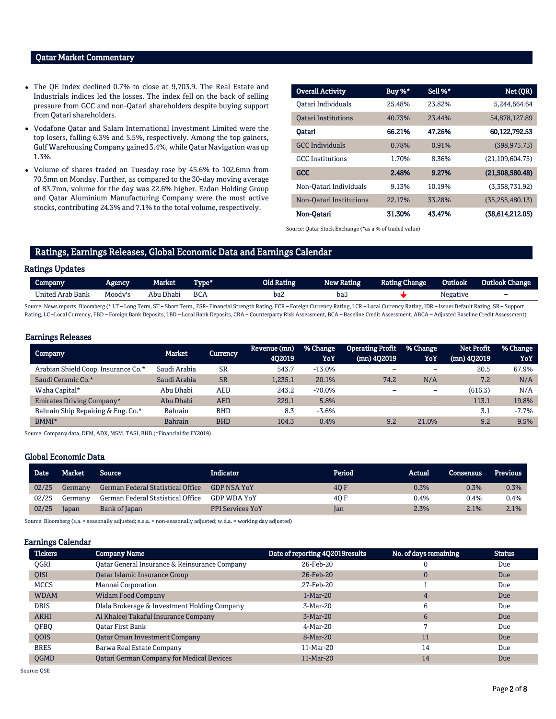# Qatar Market Commentary

- The QE Index declined 0.7% to close at 9,703.9. The Real Estate and Industrials indices led the losses. The index fell on the back of selling pressure from GCC and non-Qatari shareholders despite buying support from Qatari shareholders.
- Vodafone Qatar and Salam International Investment Limited were the top losers, falling 6.3% and 5.5%, respectively. Among the top gainers, Gulf Warehousing Company gained 3.4%, while Qatar Navigation was up 1.3%.
- Volume of shares traded on Tuesday rose by 45.6% to 102.6mn from 70.5mn on Monday. Further, as compared to the 30-day moving average of 83.7mn, volume for the day was 22.6% higher. Ezdan Holding Group and Qatar Aluminium Manufacturing Company were the most active stocks, contributing 24.3% and 7.1% to the total volume, respectively.

| <b>Overall Activity</b>    | Buy %* | Sell %* | Net (QR)          |
|----------------------------|--------|---------|-------------------|
| Oatari Individuals         | 25.48% | 23.82%  | 5.244.664.64      |
| <b>Oatari Institutions</b> | 40.73% | 23.44%  | 54,878,127.89     |
| Oatari                     | 66.21% | 47.26%  | 60,122,792.53     |
| <b>GCC</b> Individuals     | 0.78%  | 0.91%   | (398.975.73)      |
| <b>GCC</b> Institutions    | 1.70%  | 8.36%   | (21.109.604.75)   |
| <b>GCC</b>                 | 2.48%  | 9.27%   | (21,508,580.48)   |
| Non-Qatari Individuals     | 9.13%  | 10.19%  | (3,358,731.92)    |
| Non-Oatari Institutions    | 22.17% | 33.28%  | (35, 255, 480.13) |
| Non-Qatari                 | 31.30% | 43.47%  | (38.614.212.05)   |

Source: Qatar Stock Exchange (\*as a % of traded value)

# Ratings, Earnings Releases, Global Economic Data and Earnings Calendar

### Ratings Updates

| Company               | Agencv  | Market    | "I'vpe" | Old Rating | New Rating | <b>Rating Change</b> | Outlook         | <b>Outlook Change</b>    |
|-----------------------|---------|-----------|---------|------------|------------|----------------------|-----------------|--------------------------|
| 1 Arab Bank<br>United | Moody's | Abu Dhabi | BCA     | baz        | ba3        |                      | <b>Negative</b> | $\overline{\phantom{a}}$ |
|                       |         |           |         |            |            |                      |                 |                          |

Source: News reports, Bloomberg (\* LT – Long Term, ST – Short Term, FSR- Financial Strength Rating, FCR – Foreign Currency Rating, LCR – Local Currency Rating, IDR – Issuer Default Rating, SR – Support Rating, LC-Local Currency, FBD - Foreign Bank Deposits, LBD - Local Bank Deposits, CRA - Counterparty Risk Assessment, BCA - Baseline Credit Assessment, ABCA - Adjusted Baseline Credit Assessment)

#### Earnings Releases

|                |               | Revenue (mn) | % Change  | <b>Operating Profit</b> | % Change | <b>Net Profit</b> | % Change |
|----------------|---------------|--------------|-----------|-------------------------|----------|-------------------|----------|
|                |               | 402019       | YoY       | $(mn)$ 402019           | YoY      | $(mn)$ 402019     | YoY      |
| Saudi Arabia   | <b>SR</b>     | 543.7        | $-13.0\%$ | -                       | -        | 20.5              | 67.9%    |
| Saudi Arabia   | <b>SR</b>     | 1.235.1      | 20.1%     | 74.2                    | N/A      | 7.2               | N/A      |
| Abu Dhabi      | AED           | 243.2        | $-70.0\%$ |                         | -        | (616.3)           | N/A      |
| Abu Dhabi      | <b>AED</b>    | 229.1        | 5.8%      |                         |          | 113.1             | 19.8%    |
| Bahrain        | <b>BHD</b>    | 8.3          | $-3.6%$   | -                       | -        | 3.1               | $-7.7%$  |
| <b>Bahrain</b> | <b>BHD</b>    | 104.3        | 0.4%      | 9.2                     | 21.0%    | 9.2               | 9.5%     |
|                | <b>Market</b> | Currency     |           |                         |          |                   |          |

Source: Company data, DFM, ADX, MSM, TASI, BHB.(\*Financial for FY2019)

### Global Economic Data

| Date <sup>'</sup> | <b>Market</b> | Source                            | Indicator               | Period | Actual | Consensus | <b>Previous</b> |
|-------------------|---------------|-----------------------------------|-------------------------|--------|--------|-----------|-----------------|
| 02/25             | Germany       | German Federal Statistical Office | <b>GDP NSA YoY</b>      | 40 F   | 0.3%   | 0.3%      | 0.3%            |
| 02/25             | Germany       | German Federal Statistical Office | <b>GDP WDA YoY</b>      | 40 F   | 0.4%   | 0.4%      | 0.4%            |
| 02/25             | Japan         | Bank of Japan                     | <b>PPI Services YoY</b> | Jan    | 2.3%   | 2.1%      | 2.1%            |

Source: Bloomberg (s.a. = seasonally adjusted; n.s.a. = non-seasonally adjusted; w.d.a. = working day adjusted)

#### Earnings Calendar

| <b>Tickers</b> | <b>Company Name</b>                              | Date of reporting 4Q2019results | No. of days remaining | <b>Status</b> |
|----------------|--------------------------------------------------|---------------------------------|-----------------------|---------------|
| <b>OGRI</b>    | Oatar General Insurance & Reinsurance Company    | 26-Feb-20                       |                       | Due           |
| QISI           | Qatar Islamic Insurance Group                    | 26-Feb-20                       | 0                     | Due           |
| <b>MCCS</b>    | Mannai Corporation                               | 27-Feb-20                       |                       | Due           |
| <b>WDAM</b>    | <b>Widam Food Company</b>                        | $1-Mar-20$                      | 4                     | Due           |
| <b>DBIS</b>    | Dlala Brokerage & Investment Holding Company     | 3-Mar-20                        | 6                     | Due           |
| <b>AKHI</b>    | Al Khaleej Takaful Insurance Company             | $3-Mar-20$                      | 6                     | Due           |
| <b>OFBO</b>    | Oatar First Bank                                 | 4-Mar-20                        |                       | Due           |
| <b>OOIS</b>    | <b>Qatar Oman Investment Company</b>             | 8-Mar-20                        | 11                    | Due           |
| <b>BRES</b>    | Barwa Real Estate Company                        | 11-Mar-20                       | 14                    | Due           |
| <b>OGMD</b>    | <b>Qatari German Company for Medical Devices</b> | 11-Mar-20                       | 14                    | Due           |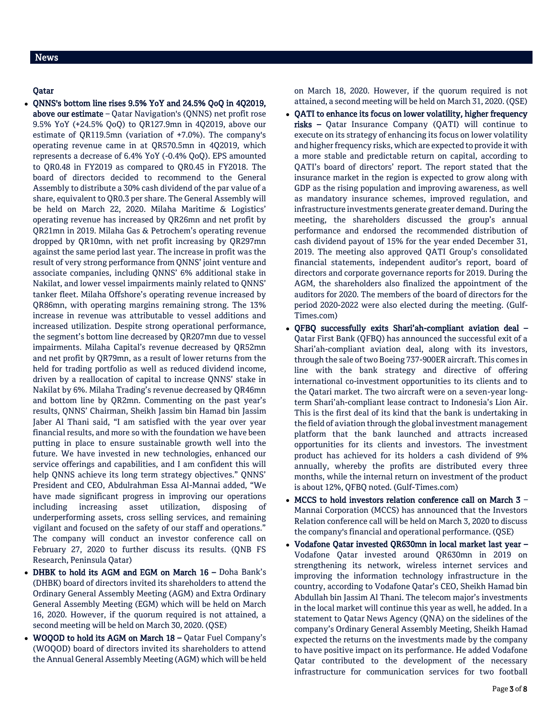# News

# Qatar

- QNNS's bottom line rises 9.5% YoY and 24.5% QoQ in 4Q2019, above our estimate - Qatar Navigation's (QNNS) net profit rose 9.5% YoY (+24.5% QoQ) to QR127.9mn in 4Q2019, above our estimate of QR119.5mn (variation of +7.0%). The company's operating revenue came in at QR570.5mn in 4Q2019, which represents a decrease of 6.4% YoY (-0.4% QoQ). EPS amounted to QR0.48 in FY2019 as compared to QR0.45 in FY2018. The board of directors decided to recommend to the General Assembly to distribute a 30% cash dividend of the par value of a share, equivalent to QR0.3 per share. The General Assembly will be held on March 22, 2020. Milaha Maritime & Logistics' operating revenue has increased by QR26mn and net profit by QR21mn in 2019. Milaha Gas & Petrochem's operating revenue dropped by QR10mn, with net profit increasing by QR297mn against the same period last year. The increase in profit was the result of very strong performance from QNNS' joint venture and associate companies, including QNNS' 6% additional stake in Nakilat, and lower vessel impairments mainly related to QNNS' tanker fleet. Milaha Offshore's operating revenue increased by QR86mn, with operating margins remaining strong. The 13% increase in revenue was attributable to vessel additions and increased utilization. Despite strong operational performance, the segment's bottom line decreased by QR207mn due to vessel impairments. Milaha Capital's revenue decreased by QR52mn and net profit by QR79mn, as a result of lower returns from the held for trading portfolio as well as reduced dividend income, driven by a reallocation of capital to increase QNNS' stake in Nakilat by 6%. Milaha Trading's revenue decreased by QR46mn and bottom line by QR2mn. Commenting on the past year's results, QNNS' Chairman, Sheikh Jassim bin Hamad bin Jassim Jaber Al Thani said, "I am satisfied with the year over year financial results, and more so with the foundation we have been putting in place to ensure sustainable growth well into the future. We have invested in new technologies, enhanced our service offerings and capabilities, and I am confident this will help QNNS achieve its long term strategy objectives." QNNS' President and CEO, Abdulrahman Essa Al-Mannai added, "We have made significant progress in improving our operations including increasing asset utilization, disposing of underperforming assets, cross selling services, and remaining vigilant and focused on the safety of our staff and operations." The company will conduct an investor conference call on February 27, 2020 to further discuss its results. (QNB FS Research, Peninsula Qatar)
- DHBK to hold its AGM and EGM on March 16 Doha Bank's (DHBK) board of directors invited its shareholders to attend the Ordinary General Assembly Meeting (AGM) and Extra Ordinary General Assembly Meeting (EGM) which will be held on March 16, 2020. However, if the quorum required is not attained, a second meeting will be held on March 30, 2020. (QSE)
- WOQOD to hold its AGM on March 18 Qatar Fuel Company's (WOQOD) board of directors invited its shareholders to attend the Annual General Assembly Meeting (AGM) which will be held

on March 18, 2020. However, if the quorum required is not attained, a second meeting will be held on March 31, 2020. (QSE)

- QATI to enhance its focus on lower volatility, higher frequency risks – Qatar Insurance Company (QATI) will continue to execute on its strategy of enhancing its focus on lower volatility and higher frequency risks, which are expected to provide it with a more stable and predictable return on capital, according to QATI's board of directors' report. The report stated that the insurance market in the region is expected to grow along with GDP as the rising population and improving awareness, as well as mandatory insurance schemes, improved regulation, and infrastructure investments generate greater demand. During the meeting, the shareholders discussed the group's annual performance and endorsed the recommended distribution of cash dividend payout of 15% for the year ended December 31, 2019. The meeting also approved QATI Group's consolidated financial statements, independent auditor's report, board of directors and corporate governance reports for 2019. During the AGM, the shareholders also finalized the appointment of the auditors for 2020. The members of the board of directors for the period 2020-2022 were also elected during the meeting. (Gulf-Times.com)
- QFBQ successfully exits Shari'ah-compliant aviation deal Qatar First Bank (QFBQ) has announced the successful exit of a Shari'ah-compliant aviation deal, along with its investors, through the sale of two Boeing 737-900ER aircraft. This comes in line with the bank strategy and directive of offering international co-investment opportunities to its clients and to the Qatari market. The two aircraft were on a seven-year longterm Shari'ah-compliant lease contract to Indonesia's Lion Air. This is the first deal of its kind that the bank is undertaking in the field of aviation through the global investment management platform that the bank launched and attracts increased opportunities for its clients and investors. The investment product has achieved for its holders a cash dividend of 9% annually, whereby the profits are distributed every three months, while the internal return on investment of the product is about 12%, QFBQ noted. (Gulf-Times.com)
- MCCS to hold investors relation conference call on March  $3$  Mannai Corporation (MCCS) has announced that the Investors Relation conference call will be held on March 3, 2020 to discuss the company's financial and operational performance. (QSE)
- Vodafone Qatar invested QR630mn in local market last year Vodafone Qatar invested around QR630mn in 2019 on strengthening its network, wireless internet services and improving the information technology infrastructure in the country, according to Vodafone Qatar's CEO, Sheikh Hamad bin Abdullah bin Jassim Al Thani. The telecom major's investments in the local market will continue this year as well, he added. In a statement to Qatar News Agency (QNA) on the sidelines of the company's Ordinary General Assembly Meeting, Sheikh Hamad expected the returns on the investments made by the company to have positive impact on its performance. He added Vodafone Qatar contributed to the development of the necessary infrastructure for communication services for two football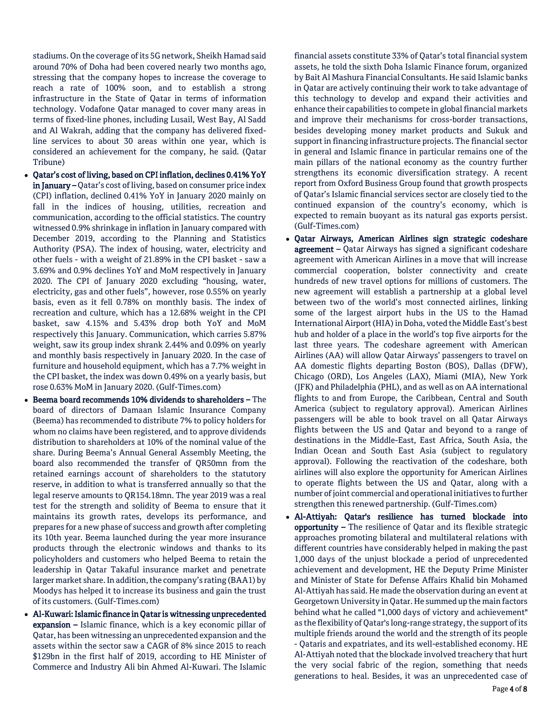stadiums. On the coverage of its 5G network, Sheikh Hamad said around 70% of Doha had been covered nearly two months ago, stressing that the company hopes to increase the coverage to reach a rate of 100% soon, and to establish a strong infrastructure in the State of Qatar in terms of information technology. Vodafone Qatar managed to cover many areas in terms of fixed-line phones, including Lusail, West Bay, Al Sadd and Al Wakrah, adding that the company has delivered fixedline services to about 30 areas within one year, which is considered an achievement for the company, he said. (Qatar Tribune)

- Qatar's cost of living, based on CPI inflation, declines 0.41% YoY in January – Qatar's cost of living, based on consumer price index (CPI) inflation, declined 0.41% YoY in January 2020 mainly on fall in the indices of housing, utilities, recreation and communication, according to the official statistics. The country witnessed 0.9% shrinkage in inflation in January compared with December 2019, according to the Planning and Statistics Authority (PSA). The index of housing, water, electricity and other fuels - with a weight of 21.89% in the CPI basket - saw a 3.69% and 0.9% declines YoY and MoM respectively in January 2020. The CPI of January 2020 excluding "housing, water, electricity, gas and other fuels", however, rose 0.55% on yearly basis, even as it fell 0.78% on monthly basis. The index of recreation and culture, which has a 12.68% weight in the CPI basket, saw 4.15% and 5.43% drop both YoY and MoM respectively this January. Communication, which carries 5.87% weight, saw its group index shrank 2.44% and 0.09% on yearly and monthly basis respectively in January 2020. In the case of furniture and household equipment, which has a 7.7% weight in the CPI basket, the index was down 0.49% on a yearly basis, but rose 0.63% MoM in January 2020. (Gulf-Times.com)
- Beema board recommends 10% dividends to shareholders The board of directors of Damaan Islamic Insurance Company (Beema) has recommended to distribute 7% to policy holders for whom no claims have been registered, and to approve dividends distribution to shareholders at 10% of the nominal value of the share. During Beema's Annual General Assembly Meeting, the board also recommended the transfer of QR50mn from the retained earnings account of shareholders to the statutory reserve, in addition to what is transferred annually so that the legal reserve amounts to QR154.18mn. The year 2019 was a real test for the strength and solidity of Beema to ensure that it maintains its growth rates, develops its performance, and prepares for a new phase of success and growth after completing its 10th year. Beema launched during the year more insurance products through the electronic windows and thanks to its policyholders and customers who helped Beema to retain the leadership in Qatar Takaful insurance market and penetrate larger market share. In addition, the company's rating (BAA1) by Moodys has helped it to increase its business and gain the trust of its customers. (Gulf-Times.com)
- Al-Kuwari: Islamic finance in Qatar is witnessing unprecedented expansion – Islamic finance, which is a key economic pillar of Qatar, has been witnessing an unprecedented expansion and the assets within the sector saw a CAGR of 8% since 2015 to reach \$129bn in the first half of 2019, according to HE Minister of Commerce and Industry Ali bin Ahmed Al-Kuwari. The Islamic

financial assets constitute 33% of Qatar's total financial system assets, he told the sixth Doha Islamic Finance forum, organized by Bait Al Mashura Financial Consultants. He said Islamic banks in Qatar are actively continuing their work to take advantage of this technology to develop and expand their activities and enhance their capabilities to compete in global financial markets and improve their mechanisms for cross-border transactions, besides developing money market products and Sukuk and support in financing infrastructure projects. The financial sector in general and Islamic finance in particular remains one of the main pillars of the national economy as the country further strengthens its economic diversification strategy. A recent report from Oxford Business Group found that growth prospects of Qatar's Islamic financial services sector are closely tied to the continued expansion of the country's economy, which is expected to remain buoyant as its natural gas exports persist. (Gulf-Times.com)

- Qatar Airways, American Airlines sign strategic codeshare agreement – Qatar Airways has signed a significant codeshare agreement with American Airlines in a move that will increase commercial cooperation, bolster connectivity and create hundreds of new travel options for millions of customers. The new agreement will establish a partnership at a global level between two of the world's most connected airlines, linking some of the largest airport hubs in the US to the Hamad International Airport (HIA) in Doha, voted the Middle East's best hub and holder of a place in the world's top five airports for the last three years. The codeshare agreement with American Airlines (AA) will allow Qatar Airways' passengers to travel on AA domestic flights departing Boston (BOS), Dallas (DFW), Chicago (ORD), Los Angeles (LAX), Miami (MIA), New York (JFK) and Philadelphia (PHL), and as well as on AA international flights to and from Europe, the Caribbean, Central and South America (subject to regulatory approval). American Airlines passengers will be able to book travel on all Qatar Airways flights between the US and Qatar and beyond to a range of destinations in the Middle-East, East Africa, South Asia, the Indian Ocean and South East Asia (subject to regulatory approval). Following the reactivation of the codeshare, both airlines will also explore the opportunity for American Airlines to operate flights between the US and Qatar, along with a number of joint commercial and operational initiatives to further strengthen this renewed partnership. (Gulf-Times.com)
- Al-Attiyah: Qatar's resilience has turned blockade into opportunity – The resilience of Qatar and its flexible strategic approaches promoting bilateral and multilateral relations with different countries have considerably helped in making the past 1,000 days of the unjust blockade a period of unprecedented achievement and development, HE the Deputy Prime Minister and Minister of State for Defense Affairs Khalid bin Mohamed Al-Attiyah has said. He made the observation during an event at Georgetown University in Qatar. He summed up the main factors behind what he called "1,000 days of victory and achievement" as the flexibility of Qatar's long-range strategy, the support of its multiple friends around the world and the strength of its people - Qataris and expatriates, and its well-established economy. HE Al-Attiyah noted that the blockade involved treachery that hurt the very social fabric of the region, something that needs generations to heal. Besides, it was an unprecedented case of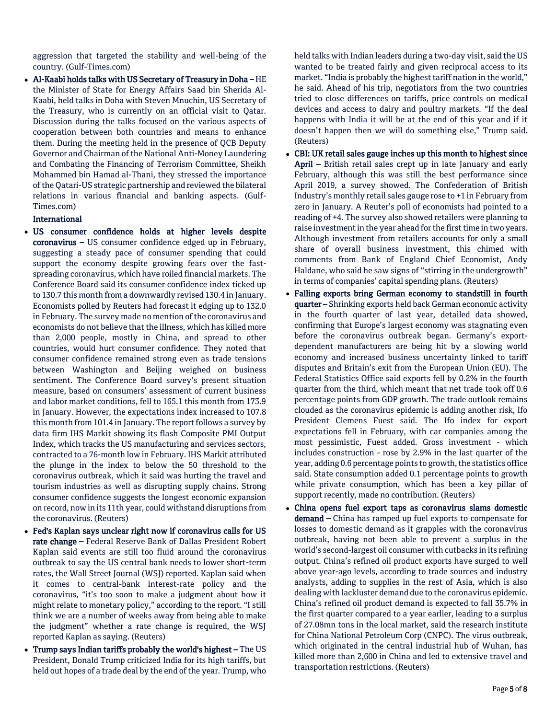aggression that targeted the stability and well-being of the country. (Gulf-Times.com)

 Al-Kaabi holds talks with US Secretary of Treasury in Doha – HE the Minister of State for Energy Affairs Saad bin Sherida Al-Kaabi, held talks in Doha with Steven Mnuchin, US Secretary of the Treasury, who is currently on an official visit to Qatar. Discussion during the talks focused on the various aspects of cooperation between both countries and means to enhance them. During the meeting held in the presence of QCB Deputy Governor and Chairman of the National Anti-Money Laundering and Combating the Financing of Terrorism Committee, Sheikh Mohammed bin Hamad al-Thani, they stressed the importance of the Qatari-US strategic partnership and reviewed the bilateral relations in various financial and banking aspects. (Gulf-Times.com)

## International

- US consumer confidence holds at higher levels despite coronavirus – US consumer confidence edged up in February, suggesting a steady pace of consumer spending that could support the economy despite growing fears over the fastspreading coronavirus, which have roiled financial markets. The Conference Board said its consumer confidence index ticked up to 130.7 this month from a downwardly revised 130.4 in January. Economists polled by Reuters had forecast it edging up to 132.0 in February. The survey made no mention of the coronavirus and economists do not believe that the illness, which has killed more than 2,000 people, mostly in China, and spread to other countries, would hurt consumer confidence. They noted that consumer confidence remained strong even as trade tensions between Washington and Beijing weighed on business sentiment. The Conference Board survey's present situation measure, based on consumers' assessment of current business and labor market conditions, fell to 165.1 this month from 173.9 in January. However, the expectations index increased to 107.8 this month from 101.4 in January. The report follows a survey by data firm IHS Markit showing its flash Composite PMI Output Index, which tracks the US manufacturing and services sectors, contracted to a 76-month low in February. IHS Markit attributed the plunge in the index to below the 50 threshold to the coronavirus outbreak, which it said was hurting the travel and tourism industries as well as disrupting supply chains. Strong consumer confidence suggests the longest economic expansion on record, now in its 11th year, could withstand disruptions from the coronavirus. (Reuters)
- Fed's Kaplan says unclear right now if coronavirus calls for US rate change – Federal Reserve Bank of Dallas President Robert Kaplan said events are still too fluid around the coronavirus outbreak to say the US central bank needs to lower short-term rates, the Wall Street Journal (WSJ) reported. Kaplan said when it comes to central-bank interest-rate policy and the coronavirus, "it's too soon to make a judgment about how it might relate to monetary policy," according to the report. "I still think we are a number of weeks away from being able to make the judgment" whether a rate change is required, the WSJ reported Kaplan as saying. (Reuters)
- Trump says Indian tariffs probably the world's highest The US President, Donald Trump criticized India for its high tariffs, but held out hopes of a trade deal by the end of the year. Trump, who

held talks with Indian leaders during a two-day visit, said the US wanted to be treated fairly and given reciprocal access to its market. "India is probably the highest tariff nation in the world," he said. Ahead of his trip, negotiators from the two countries tried to close differences on tariffs, price controls on medical devices and access to dairy and poultry markets. "If the deal happens with India it will be at the end of this year and if it doesn't happen then we will do something else," Trump said. (Reuters)

- CBI: UK retail sales gauge inches up this month to highest since April – British retail sales crept up in late January and early February, although this was still the best performance since April 2019, a survey showed. The Confederation of British Industry's monthly retail sales gauge rose to +1 in February from zero in January. A Reuter's poll of economists had pointed to a reading of +4. The survey also showed retailers were planning to raise investment in the year ahead for the first time in two years. Although investment from retailers accounts for only a small share of overall business investment, this chimed with comments from Bank of England Chief Economist, Andy Haldane, who said he saw signs of "stirring in the undergrowth" in terms of companies' capital spending plans. (Reuters)
- Falling exports bring German economy to standstill in fourth quarter – Shrinking exports held back German economic activity in the fourth quarter of last year, detailed data showed, confirming that Europe's largest economy was stagnating even before the coronavirus outbreak began. Germany's exportdependent manufacturers are being hit by a slowing world economy and increased business uncertainty linked to tariff disputes and Britain's exit from the European Union (EU). The Federal Statistics Office said exports fell by 0.2% in the fourth quarter from the third, which meant that net trade took off 0.6 percentage points from GDP growth. The trade outlook remains clouded as the coronavirus epidemic is adding another risk, Ifo President Clemens Fuest said. The Ifo index for export expectations fell in February, with car companies among the most pessimistic, Fuest added. Gross investment - which includes construction - rose by 2.9% in the last quarter of the year, adding 0.6 percentage points to growth, the statistics office said. State consumption added 0.1 percentage points to growth while private consumption, which has been a key pillar of support recently, made no contribution. (Reuters)
- China opens fuel export taps as coronavirus slams domestic demand - China has ramped up fuel exports to compensate for losses to domestic demand as it grapples with the coronavirus outbreak, having not been able to prevent a surplus in the world's second-largest oil consumer with cutbacks in its refining output. China's refined oil product exports have surged to well above year-ago levels, according to trade sources and industry analysts, adding to supplies in the rest of Asia, which is also dealing with lackluster demand due to the coronavirus epidemic. China's refined oil product demand is expected to fall 35.7% in the first quarter compared to a year earlier, leading to a surplus of 27.08mn tons in the local market, said the research institute for China National Petroleum Corp (CNPC). The virus outbreak, which originated in the central industrial hub of Wuhan, has killed more than 2,600 in China and led to extensive travel and transportation restrictions. (Reuters)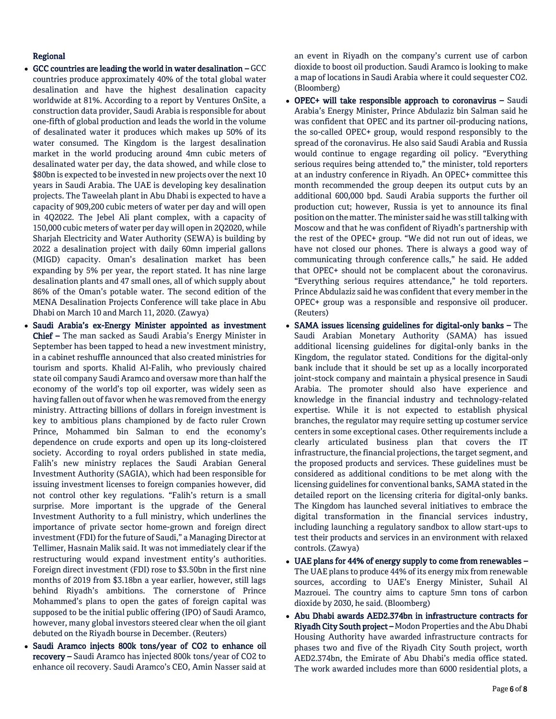# Regional

- GCC countries are leading the world in water desalination GCC countries produce approximately 40% of the total global water desalination and have the highest desalination capacity worldwide at 81%. According to a report by Ventures OnSite, a construction data provider, Saudi Arabia is responsible for about one-fifth of global production and leads the world in the volume of desalinated water it produces which makes up 50% of its water consumed. The Kingdom is the largest desalination market in the world producing around 4mn cubic meters of desalinated water per day, the data showed, and while close to \$80bn is expected to be invested in new projects over the next 10 years in Saudi Arabia. The UAE is developing key desalination projects. The Taweelah plant in Abu Dhabi is expected to have a capacity of 909,200 cubic meters of water per day and will open in 4Q2022. The Jebel Ali plant complex, with a capacity of 150,000 cubic meters of water per day will open in 2Q2020, while Sharjah Electricity and Water Authority (SEWA) is building by 2022 a desalination project with daily 60mn imperial gallons (MIGD) capacity. Oman's desalination market has been expanding by 5% per year, the report stated. It has nine large desalination plants and 47 small ones, all of which supply about 86% of the Oman's potable water. The second edition of the MENA Desalination Projects Conference will take place in Abu Dhabi on March 10 and March 11, 2020. (Zawya)
- Saudi Arabia's ex-Energy Minister appointed as investment Chief – The man sacked as Saudi Arabia's Energy Minister in September has been tapped to head a new investment ministry, in a cabinet reshuffle announced that also created ministries for tourism and sports. Khalid Al-Falih, who previously chaired state oil company Saudi Aramco and oversaw more than half the economy of the world's top oil exporter, was widely seen as having fallen out of favor when he was removed from the energy ministry. Attracting billions of dollars in foreign investment is key to ambitious plans championed by de facto ruler Crown Prince, Mohammed bin Salman to end the economy's dependence on crude exports and open up its long-cloistered society. According to royal orders published in state media, Falih's new ministry replaces the Saudi Arabian General Investment Authority (SAGIA), which had been responsible for issuing investment licenses to foreign companies however, did not control other key regulations. "Falih's return is a small surprise. More important is the upgrade of the General Investment Authority to a full ministry, which underlines the importance of private sector home-grown and foreign direct investment (FDI) for the future of Saudi," a Managing Director at Tellimer, Hasnain Malik said. It was not immediately clear if the restructuring would expand investment entity's authorities. Foreign direct investment (FDI) rose to \$3.50bn in the first nine months of 2019 from \$3.18bn a year earlier, however, still lags behind Riyadh's ambitions. The cornerstone of Prince Mohammed's plans to open the gates of foreign capital was supposed to be the initial public offering (IPO) of Saudi Aramco, however, many global investors steered clear when the oil giant debuted on the Riyadh bourse in December. (Reuters)
- Saudi Aramco injects 800k tons/year of CO2 to enhance oil recovery – Saudi Aramco has injected 800k tons/year of CO2 to enhance oil recovery. Saudi Aramco's CEO, Amin Nasser said at

an event in Riyadh on the company's current use of carbon dioxide to boost oil production. Saudi Aramco is looking to make a map of locations in Saudi Arabia where it could sequester CO2. (Bloomberg)

- OPEC+ will take responsible approach to coronavirus Saudi Arabia's Energy Minister, Prince Abdulaziz bin Salman said he was confident that OPEC and its partner oil-producing nations, the so-called OPEC+ group, would respond responsibly to the spread of the coronavirus. He also said Saudi Arabia and Russia would continue to engage regarding oil policy. "Everything serious requires being attended to," the minister, told reporters at an industry conference in Riyadh. An OPEC+ committee this month recommended the group deepen its output cuts by an additional 600,000 bpd. Saudi Arabia supports the further oil production cut; however, Russia is yet to announce its final position on the matter. The minister said he was still talking with Moscow and that he was confident of Riyadh's partnership with the rest of the OPEC+ group. "We did not run out of ideas, we have not closed our phones. There is always a good way of communicating through conference calls," he said. He added that OPEC+ should not be complacent about the coronavirus. "Everything serious requires attendance," he told reporters. Prince Abdulaziz said he was confident that every member in the OPEC+ group was a responsible and responsive oil producer. (Reuters)
- SAMA issues licensing guidelines for digital-only banks The Saudi Arabian Monetary Authority (SAMA) has issued additional licensing guidelines for digital-only banks in the Kingdom, the regulator stated. Conditions for the digital-only bank include that it should be set up as a locally incorporated joint-stock company and maintain a physical presence in Saudi Arabia. The promoter should also have experience and knowledge in the financial industry and technology-related expertise. While it is not expected to establish physical branches, the regulator may require setting up costumer service centers in some exceptional cases. Other requirements include a clearly articulated business plan that covers the IT infrastructure, the financial projections, the target segment, and the proposed products and services. These guidelines must be considered as additional conditions to be met along with the licensing guidelines for conventional banks, SAMA stated in the detailed report on the licensing criteria for digital-only banks. The Kingdom has launched several initiatives to embrace the digital transformation in the financial services industry, including launching a regulatory sandbox to allow start-ups to test their products and services in an environment with relaxed controls. (Zawya)
- UAE plans for 44% of energy supply to come from renewables The UAE plans to produce 44% of its energy mix from renewable sources, according to UAE's Energy Minister, Suhail Al Mazrouei. The country aims to capture 5mn tons of carbon dioxide by 2030, he said. (Bloomberg)
- Abu Dhabi awards AED2.374bn in infrastructure contracts for Riyadh City South project – Modon Properties and the Abu Dhabi Housing Authority have awarded infrastructure contracts for phases two and five of the Riyadh City South project, worth AED2.374bn, the Emirate of Abu Dhabi's media office stated. The work awarded includes more than 6000 residential plots, a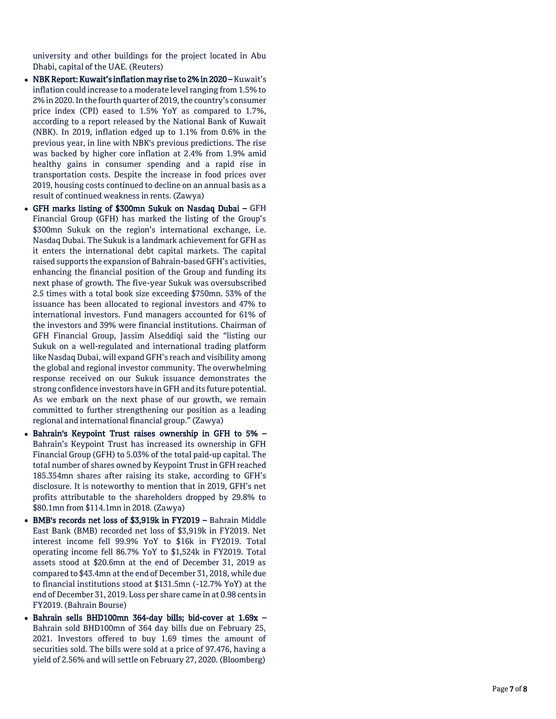university and other buildings for the project located in Abu Dhabi, capital of the UAE. (Reuters)

- NBK Report: Kuwait's inflation may rise to 2% in 2020 –Kuwait's inflation could increase to a moderate level ranging from 1.5% to 2% in 2020. In the fourth quarter of 2019, the country's consumer price index (CPI) eased to 1.5% YoY as compared to 1.7%, according to a report released by the National Bank of Kuwait (NBK). In 2019, inflation edged up to 1.1% from 0.6% in the previous year, in line with NBK's previous predictions. The rise was backed by higher core inflation at 2.4% from 1.9% amid healthy gains in consumer spending and a rapid rise in transportation costs. Despite the increase in food prices over 2019, housing costs continued to decline on an annual basis as a result of continued weakness in rents. (Zawya)
- GFH marks listing of \$300mn Sukuk on Nasdaq Dubai GFH Financial Group (GFH) has marked the listing of the Group's \$300mn Sukuk on the region's international exchange, i.e. Nasdaq Dubai. The Sukuk is a landmark achievement for GFH as it enters the international debt capital markets. The capital raised supports the expansion of Bahrain -based GFH's activities, enhancing the financial position of the Group and funding its next phase of growth. The five -year Sukuk was oversubscribed 2.5 times with a total book size exceeding \$750mn. 53% of the issuance has been allocated to regional investors and 47% to international investors. Fund managers accounted for 61% of the investors and 39% were financial institutions. Chairman of GFH Financial Group, Jassim Alseddiqi said the "listing our Sukuk on a well -regulated and international trading platform like Nasdaq Dubai, will expand GFH's reach and visibility among the global and regional investor community. The overwhelming response received on our Sukuk issuance demonstrates the strong confidence investors have in GFH and its future potential. As we embark on the next phase of our growth, we remain committed to further strengthening our position as a leading regional and international financial group." (Zawya)
- Bahrain's Keypoint Trust raises ownership in GFH to 5% Bahrain's Keypoint Trust has increased its ownership in GFH Financial Group (GFH) to 5.03% of the total paid -up capital. The total number of shares owned by Keypoint Trust in GFH reached 185.354mn shares after raising its stake, according to GFH's disclosure. It is noteworthy to mention that in 2019, GFH's net profits attributable to the shareholders dropped by 29.8% to \$80.1mn from \$114.1mn in 2018. (Zawya)
- BMB's records net loss of \$3,919k in FY2019 Bahrain Middle East Bank (BMB) recorded net loss of \$3,919k in FY2019. Net interest income fell 99.9% YoY to \$16k in FY2019. Total operating income fell 86.7% YoY to \$1,524k in FY2019. Total assets stood at \$20.6mn at the end of December 31, 2019 as compared to \$43.4mn at the end of December 31, 2018, while due to financial institutions stood at \$131.5mn ( -12.7% YoY) at the end of December 31, 2019. Loss per share came in at 0.98 cents in FY2019. (Bahrain Bourse)
- Bahrain sells BHD100mn 364-day bills; bid-cover at 1.69x -Bahrain sold BHD100mn of 364 day bills due on February 25, 2021. Investors offered to buy 1.69 times the amount of securities sold. The bills were sold at a price of 97.476, having a yield of 2.56% and will settle on February 27, 2020. (Bloomberg)